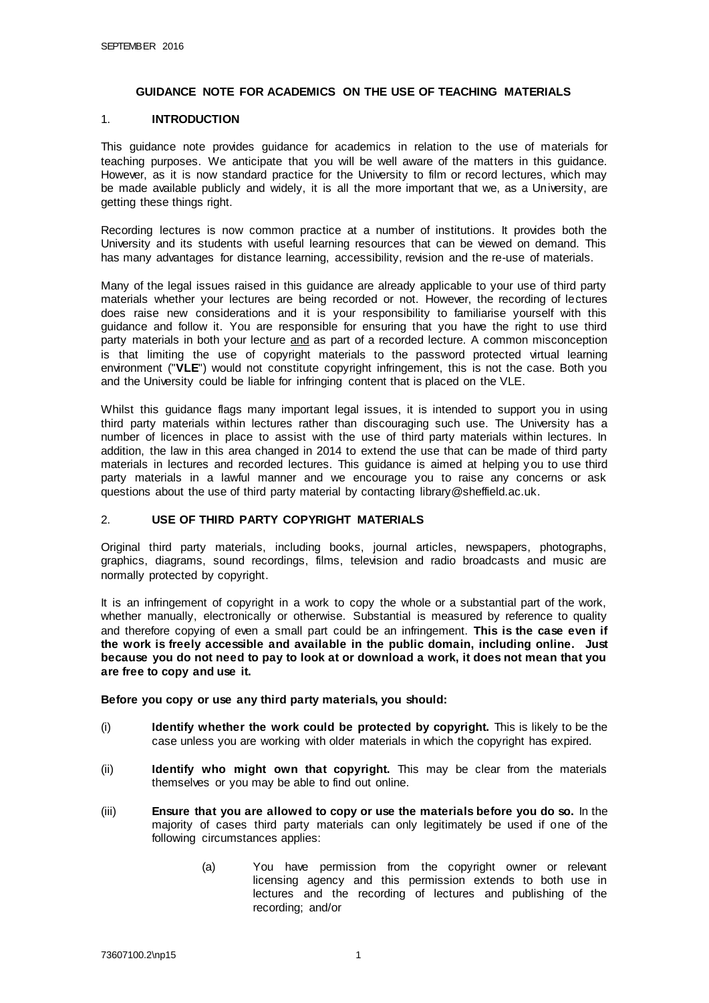#### **GUIDANCE NOTE FOR ACADEMICS ON THE USE OF TEACHING MATERIALS**

## 1. **INTRODUCTION**

This guidance note provides guidance for academics in relation to the use of materials for teaching purposes. We anticipate that you will be well aware of the matters in this guidance. However, as it is now standard practice for the University to film or record lectures, which may be made available publicly and widely, it is all the more important that we, as a University, are getting these things right.

Recording lectures is now common practice at a number of institutions. It provides both the University and its students with useful learning resources that can be viewed on demand. This has many advantages for distance learning, accessibility, revision and the re-use of materials.

Many of the legal issues raised in this guidance are already applicable to your use of third party materials whether your lectures are being recorded or not. However, the recording of lectures does raise new considerations and it is your responsibility to familiarise yourself with this guidance and follow it. You are responsible for ensuring that you have the right to use third party materials in both your lecture and as part of a recorded lecture. A common misconception is that limiting the use of copyright materials to the password protected virtual learning environment ("**VLE**") would not constitute copyright infringement, this is not the case. Both you and the University could be liable for infringing content that is placed on the VLE.

Whilst this guidance flags many important legal issues, it is intended to support you in using third party materials within lectures rather than discouraging such use. The University has a number of licences in place to assist with the use of third party materials within lectures. In addition, the law in this area changed in 2014 to extend the use that can be made of third party materials in lectures and recorded lectures. This guidance is aimed at helping you to use third party materials in a lawful manner and we encourage you to raise any concerns or ask questions about the use of third party material by contacting library@sheffield.ac.uk.

## 2. **USE OF THIRD PARTY COPYRIGHT MATERIALS**

Original third party materials, including books, journal articles, newspapers, photographs, graphics, diagrams, sound recordings, films, television and radio broadcasts and music are normally protected by copyright.

It is an infringement of copyright in a work to copy the whole or a substantial part of the work, whether manually, electronically or otherwise. Substantial is measured by reference to quality and therefore copying of even a small part could be an infringement. **This is the case even if the work is freely accessible and available in the public domain, including online. Just because you do not need to pay to look at or download a work, it does not mean that you are free to copy and use it.** 

#### **Before you copy or use any third party materials, you should:**

- (i) **Identify whether the work could be protected by copyright.** This is likely to be the case unless you are working with older materials in which the copyright has expired.
- (ii) **Identify who might own that copyright.** This may be clear from the materials themselves or you may be able to find out online.
- (iii) **Ensure that you are allowed to copy or use the materials before you do so.** In the majority of cases third party materials can only legitimately be used if one of the following circumstances applies:
	- (a) You have permission from the copyright owner or relevant licensing agency and this permission extends to both use in lectures and the recording of lectures and publishing of the recording; and/or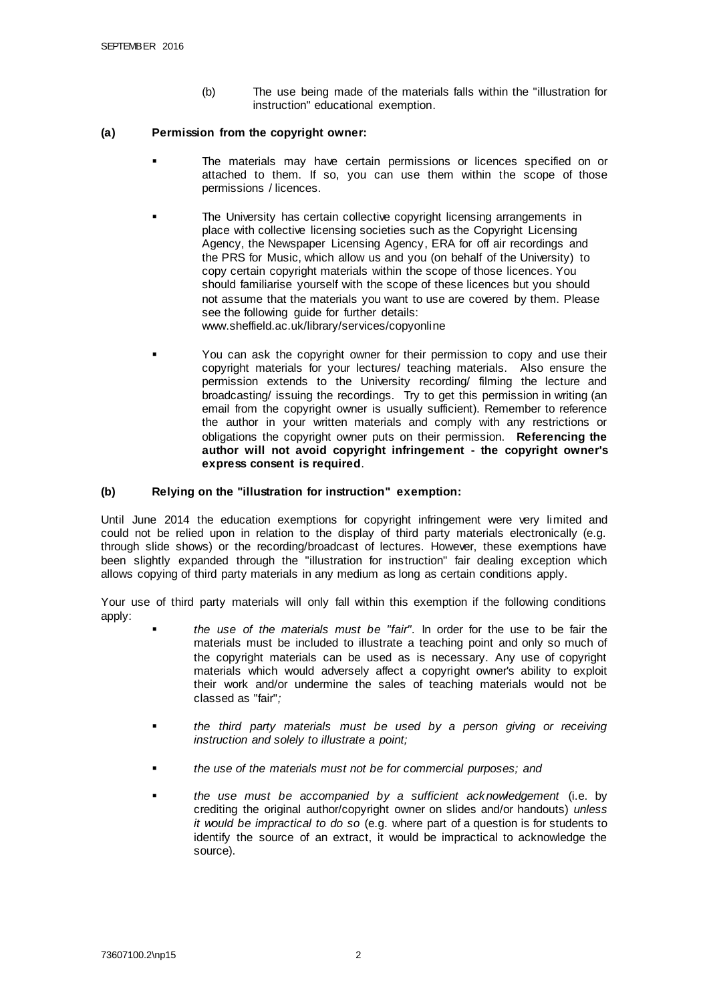(b) The use being made of the materials falls within the "illustration for instruction" educational exemption.

#### **(a) Permission from the copyright owner:**

- The materials may have certain permissions or licences specified on or attached to them. If so, you can use them within the scope of those permissions / licences.
- The University has certain collective copyright licensing arrangements in place with collective licensing societies such as the Copyright Licensing Agency, the Newspaper Licensing Agency, ERA for off air recordings and the PRS for Music, which allow us and you (on behalf of the University) to copy certain copyright materials within the scope of those licences. You should familiarise yourself with the scope of these licences but you should not assume that the materials you want to use are covered by them. Please see the following guide for further details: www.sheffield.ac.uk/library/services/copyonline
	- You can ask the copyright owner for their permission to copy and use their copyright materials for your lectures/ teaching materials. Also ensure the permission extends to the University recording/ filming the lecture and broadcasting/ issuing the recordings. Try to get this permission in writing (an email from the copyright owner is usually sufficient). Remember to reference the author in your written materials and comply with any restrictions or obligations the copyright owner puts on their permission. **Referencing the author will not avoid copyright infringement - the copyright owner's express consent is required**.

#### **(b) Relying on the "illustration for instruction" exemption:**

Until June 2014 the education exemptions for copyright infringement were very limited and could not be relied upon in relation to the display of third party materials electronically (e.g. through slide shows) or the recording/broadcast of lectures. However, these exemptions have been slightly expanded through the "illustration for instruction" fair dealing exception which allows copying of third party materials in any medium as long as certain conditions apply.

Your use of third party materials will only fall within this exemption if the following conditions apply:

- *the use of the materials must be "fair".* In order for the use to be fair the materials must be included to illustrate a teaching point and only so much of the copyright materials can be used as is necessary. Any use of copyright materials which would adversely affect a copyright owner's ability to exploit their work and/or undermine the sales of teaching materials would not be classed as "fair"*;*
- *the third party materials must be used by a person giving or receiving instruction and solely to illustrate a point;*
- *the use of the materials must not be for commercial purposes; and*
- *the use must be accompanied by a sufficient acknowledgement* (i.e. by crediting the original author/copyright owner on slides and/or handouts) *unless it would be impractical to do so* (e.g. where part of a question is for students to identify the source of an extract, it would be impractical to acknowledge the source).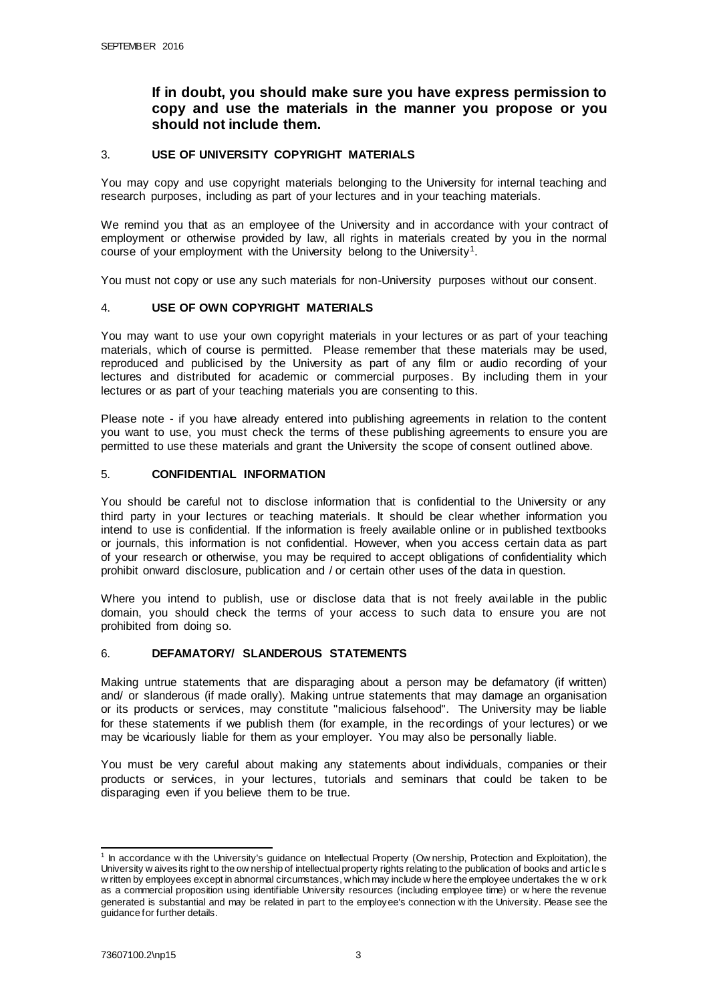# **If in doubt, you should make sure you have express permission to copy and use the materials in the manner you propose or you should not include them.**

## 3. **USE OF UNIVERSITY COPYRIGHT MATERIALS**

You may copy and use copyright materials belonging to the University for internal teaching and research purposes, including as part of your lectures and in your teaching materials.

We remind you that as an employee of the University and in accordance with your contract of employment or otherwise provided by law, all rights in materials created by you in the normal course of your employment with the University belong to the University<sup>1</sup>.

You must not copy or use any such materials for non-University purposes without our consent.

## 4. **USE OF OWN COPYRIGHT MATERIALS**

You may want to use your own copyright materials in your lectures or as part of your teaching materials, which of course is permitted. Please remember that these materials may be used, reproduced and publicised by the University as part of any film or audio recording of your lectures and distributed for academic or commercial purposes. By including them in your lectures or as part of your teaching materials you are consenting to this.

Please note - if you have already entered into publishing agreements in relation to the content you want to use, you must check the terms of these publishing agreements to ensure you are permitted to use these materials and grant the University the scope of consent outlined above.

## 5. **CONFIDENTIAL INFORMATION**

You should be careful not to disclose information that is confidential to the University or any third party in your lectures or teaching materials. It should be clear whether information you intend to use is confidential. If the information is freely available online or in published textbooks or journals, this information is not confidential. However, when you access certain data as part of your research or otherwise, you may be required to accept obligations of confidentiality which prohibit onward disclosure, publication and / or certain other uses of the data in question.

Where you intend to publish, use or disclose data that is not freely available in the public domain, you should check the terms of your access to such data to ensure you are not prohibited from doing so.

## 6. **DEFAMATORY/ SLANDEROUS STATEMENTS**

Making untrue statements that are disparaging about a person may be defamatory (if written) and/ or slanderous (if made orally). Making untrue statements that may damage an organisation or its products or services, may constitute "malicious falsehood". The University may be liable for these statements if we publish them (for example, in the recordings of your lectures) or we may be vicariously liable for them as your employer. You may also be personally liable.

You must be very careful about making any statements about individuals, companies or their products or services, in your lectures, tutorials and seminars that could be taken to be disparaging even if you believe them to be true.

<sup>&</sup>lt;sup>1</sup> In accordance with the University's guidance on Intellectual Property (Ow nership, Protection and Exploitation), the University w aives its right to the ow nership of intellectual property rights relating to the publication of books and article s w ritten by employees except in abnormal circumstances, which may include w here the employee undertakes the w ork as a commercial proposition using identifiable University resources (including employee time) or w here the revenue generated is substantial and may be related in part to the employee's connection w ith the University. Please see the guidance for further details.